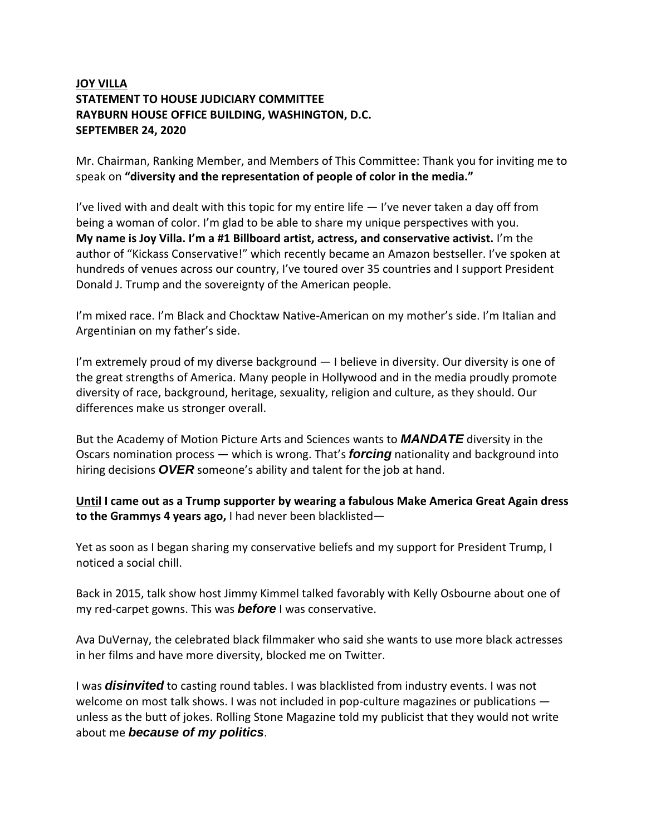## **JOY VILLA STATEMENT TO HOUSE JUDICIARY COMMITTEE RAYBURN HOUSE OFFICE BUILDING, WASHINGTON, D.C. SEPTEMBER 24, 2020**

Mr. Chairman, Ranking Member, and Members of This Committee: Thank you for inviting me to speak on **"diversity and the representation of people of color in the media."**

I've lived with and dealt with this topic for my entire life  $-$  I've never taken a day off from being a woman of color. I'm glad to be able to share my unique perspectives with you. **My name is Joy Villa. I'm a #1 Billboard artist, actress, and conservative activist.** I'm the author of "Kickass Conservative!" which recently became an Amazon bestseller. I've spoken at hundreds of venues across our country, I've toured over 35 countries and I support President Donald J. Trump and the sovereignty of the American people.

I'm mixed race. I'm Black and Chocktaw Native-American on my mother's side. I'm Italian and Argentinian on my father's side.

I'm extremely proud of my diverse background  $-1$  believe in diversity. Our diversity is one of the great strengths of America. Many people in Hollywood and in the media proudly promote diversity of race, background, heritage, sexuality, religion and culture, as they should. Our differences make us stronger overall.

But the Academy of Motion Picture Arts and Sciences wants to *MANDATE* diversity in the Oscars nomination process — which is wrong. That's *forcing* nationality and background into hiring decisions *OVER* someone's ability and talent for the job at hand.

**Until I came out as a Trump supporter by wearing a fabulous Make America Great Again dress to the Grammys 4 years ago,** I had never been blacklisted—

Yet as soon as I began sharing my conservative beliefs and my support for President Trump, I noticed a social chill.

Back in 2015, talk show host Jimmy Kimmel talked favorably with Kelly Osbourne about one of my red-carpet gowns. This was *before* I was conservative.

Ava DuVernay, the celebrated black filmmaker who said she wants to use more black actresses in her films and have more diversity, blocked me on Twitter.

I was *disinvited* to casting round tables. I was blacklisted from industry events. I was not welcome on most talk shows. I was not included in pop-culture magazines or publications unless as the butt of jokes. Rolling Stone Magazine told my publicist that they would not write about me *because of my politics*.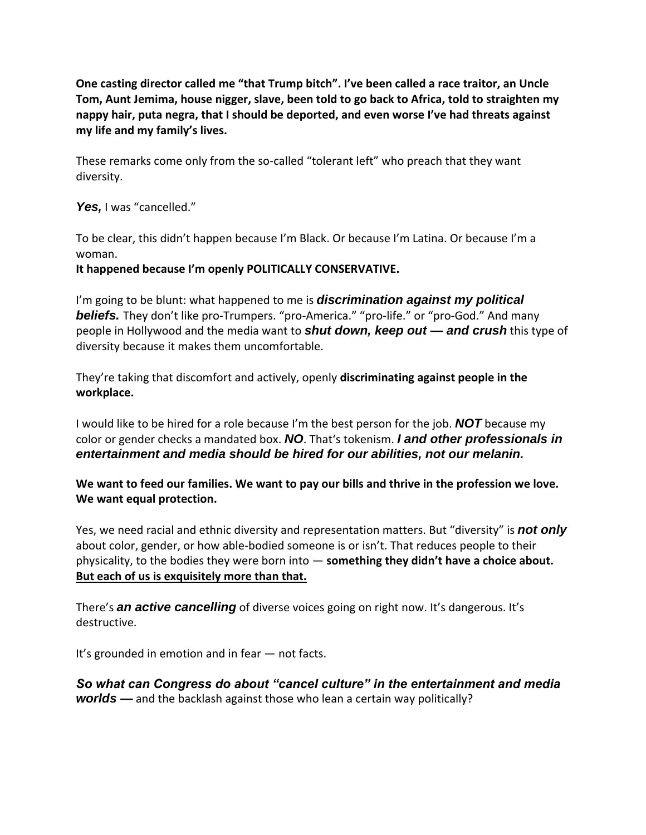**One casting director called me "that Trump bitch". I've been called a race traitor, an Uncle Tom, Aunt Jemima, house nigger, slave, been told to go back to Africa, told to straighten my nappy hair, puta negra, that I should be deported, and even worse I've had threats against my life and my family's lives.** 

These remarks come only from the so-called "tolerant left" who preach that they want diversity.

*Yes,* I was "cancelled."

To be clear, this didn't happen because I'm Black. Or because I'm Latina. Or because I'm a woman.

## **It happened because I'm openly POLITICALLY CONSERVATIVE.**

I'm going to be blunt: what happened to me is *discrimination against my political*  **beliefs.** They don't like pro-Trumpers. "pro-America." "pro-life." or "pro-God." And many people in Hollywood and the media want to *shut down, keep out — and crush* this type of diversity because it makes them uncomfortable.

They're taking that discomfort and actively, openly **discriminating against people in the workplace.**

I would like to be hired for a role because I'm the best person for the job. *NOT* because my color or gender checks a mandated box. *NO*. That's tokenism. *I and other professionals in entertainment and media should be hired for our abilities, not our melanin.*

**We want to feed our families. We want to pay our bills and thrive in the profession we love. We want equal protection.**

Yes, we need racial and ethnic diversity and representation matters. But "diversity" is *not only* about color, gender, or how able-bodied someone is or isn't. That reduces people to their physicality, to the bodies they were born into — **something they didn't have a choice about. But each of us is exquisitely more than that.**

There's *an active cancelling* of diverse voices going on right now. It's dangerous. It's destructive.

It's grounded in emotion and in fear — not facts.

*So what can Congress do about "cancel culture" in the entertainment and media worlds —* and the backlash against those who lean a certain way politically?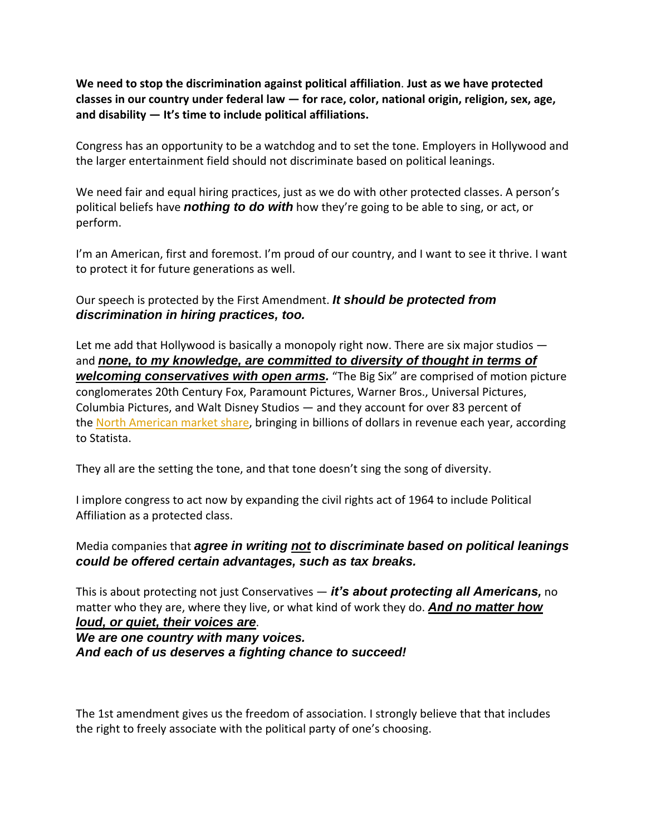**We need to stop the discrimination against political affiliation**. **Just as we have protected classes in our country under federal law — for race, color, national origin, religion, sex, age, and disability — It's time to include political affiliations.**

Congress has an opportunity to be a watchdog and to set the tone. Employers in Hollywood and the larger entertainment field should not discriminate based on political leanings.

We need fair and equal hiring practices, just as we do with other protected classes. A person's political beliefs have *nothing to do with* how they're going to be able to sing, or act, or perform.

I'm an American, first and foremost. I'm proud of our country, and I want to see it thrive. I want to protect it for future generations as well.

Our speech is protected by the First Amendment. *It should be protected from discrimination in hiring practices, too.*

Let me add that Hollywood is basically a monopoly right now. There are six major studios and **none, to my knowledge, are committed to diversity of thought in terms of** *welcoming conservatives with open arms.* "The Big Six" are comprised of motion picture conglomerates 20th Century Fox, Paramount Pictures, Warner Bros., Universal Pictures, Columbia Pictures, and Walt Disney Studios — and they account for over 83 percent of the [North American market share,](https://www.statista.com/statistics/187261/combined-market-share-of-major-film-studios-in-north-america/) bringing in billions of dollars in revenue each year, according to Statista.

They all are the setting the tone, and that tone doesn't sing the song of diversity.

I implore congress to act now by expanding the civil rights act of 1964 to include Political Affiliation as a protected class.

Media companies that *agree in writing not to discriminate based on political leanings could be offered certain advantages, such as tax breaks.*

This is about protecting not just Conservatives — *it's about protecting all Americans,* no matter who they are, where they live, or what kind of work they do. *And no matter how loud, or quiet, their voices are*.

*We are one country with many voices. And each of us deserves a fighting chance to succeed!*

The 1st amendment gives us the freedom of association. I strongly believe that that includes the right to freely associate with the political party of one's choosing.